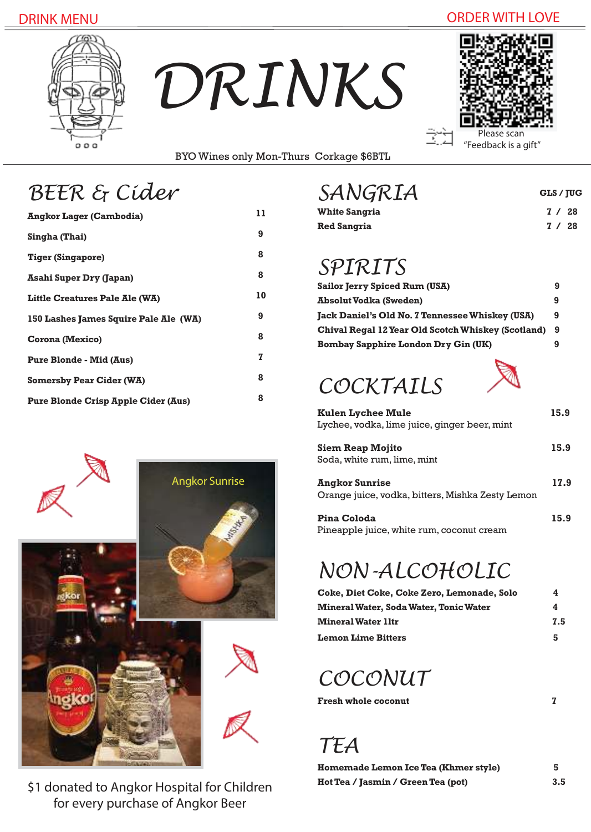### DRINK MENU ORDER WITH LOVE



*DRINKS*



**GLS / JUG**

BYO Wines only Mon-Thurs Corkage \$6BTL

|  |  | BEER & Cider |
|--|--|--------------|
|--|--|--------------|

| <b>Angkor Lager (Cambodia)</b>             | 11 |
|--------------------------------------------|----|
| Singha (Thai)                              | 9  |
| Tiger (Singapore)                          | 8  |
| <b>Asahi Super Dry (Japan)</b>             | 8  |
| Little Creatures Pale Ale (WA)             | 10 |
| 150 Lashes James Squire Pale Ale (WA)      | 9  |
| Corona (Mexico)                            | 8  |
| <b>Pure Blonde - Mid (Aus)</b>             | 7  |
| <b>Somersby Pear Cider (WA)</b>            | 8  |
| <b>Pure Blonde Crisp Apple Cider (Aus)</b> | 8  |
|                                            |    |



\$1 donated to Angkor Hospital for Children for every purchase of Angkor Beer

## *BEER & Cider SANGRIA*

| $U$ , $U$ v $U$ $V$ $V$ |  |        |
|-------------------------|--|--------|
| <b>White Sangria</b>    |  | 7/28   |
| <b>Red Sangria</b>      |  | 7 / 28 |

## *SPIRITS*

| <b>Sailor Jerry Spiced Rum (USA)</b>               |    |
|----------------------------------------------------|----|
| Absolut Vodka (Sweden)                             | 9  |
| Jack Daniel's Old No. 7 Tennessee Whiskey (USA)    | 9  |
| Chival Regal 12 Year Old Scotch Whiskey (Scotland) | -9 |
| Bombay Sapphire London Dry Gin (UK)                |    |

# *COCKTAILS*



Kulen Lychee Mule 15.9 Lychee, vodka, lime juice, ginger beer, mint

| Siem Reap Mojito            | 15.9 |
|-----------------------------|------|
| Soda, white rum, lime, mint |      |

**Angkor Sunrise 17.9**  Orange juice, vodka, bitters, Mishka Zesty Lemon

**Pina Coloda 15.9** Pineapple juice, white rum, coconut cream

# *NON-ALCOHOLIC*

| Coke, Diet Coke, Coke Zero, Lemonade, Solo | 4   |
|--------------------------------------------|-----|
| Mineral Water, Soda Water, Tonic Water     | 4   |
| <b>Mineral Water 11tr</b>                  | 7.5 |
| <b>Lemon Lime Bitters</b>                  | 5   |

## *COCONUT*

*TEA*

| Homemade Lemon Ice Tea (Khmer style) | 5   |
|--------------------------------------|-----|
| Hot Tea / Jasmin / Green Tea (pot)   | 3.5 |